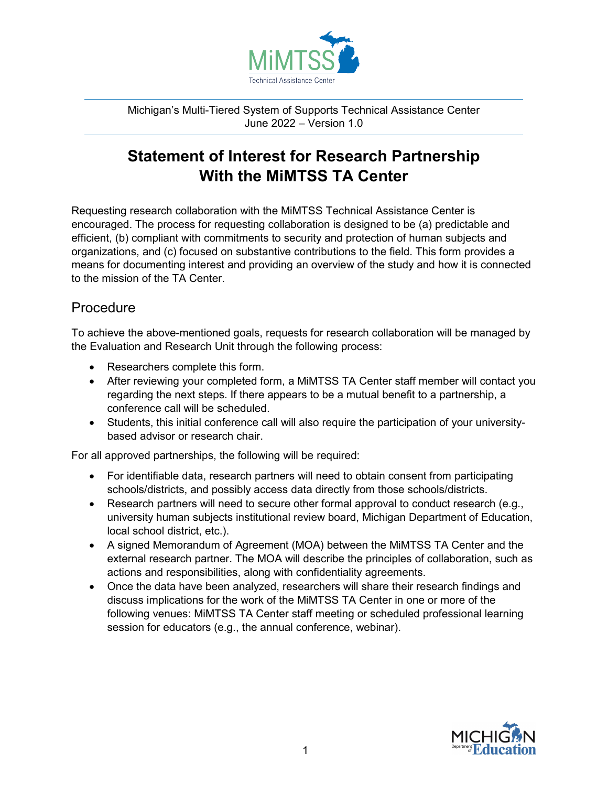

Michigan's Multi-Tiered System of Supports Technical Assistance Center June 2022 – Version 1.0

# **Statement of Interest for Research Partnership With the MiMTSS TA Center**

Requesting research collaboration with the MiMTSS Technical Assistance Center is encouraged. The process for requesting collaboration is designed to be (a) predictable and efficient, (b) compliant with commitments to security and protection of human subjects and organizations, and (c) focused on substantive contributions to the field. This form provides a means for documenting interest and providing an overview of the study and how it is connected to the mission of the TA Center.

# **Procedure**

To achieve the above-mentioned goals, requests for research collaboration will be managed by the Evaluation and Research Unit through the following process:

- · Researchers complete this form.
- After reviewing your completed form, a MiMTSS TA Center staff member will contact you regarding the next steps. If there appears to be a mutual benefit to a partnership, a conference call will be scheduled.
- · Students, this initial conference call will also require the participation of your universitybased advisor or research chair.

For all approved partnerships, the following will be required:

- · For identifiable data, research partners will need to obtain consent from participating schools/districts, and possibly access data directly from those schools/districts.
- · Research partners will need to secure other formal approval to conduct research (e.g., university human subjects institutional review board, Michigan Department of Education, local school district, etc.).
- · A signed Memorandum of Agreement (MOA) between the MiMTSS TA Center and the external research partner. The MOA will describe the principles of collaboration, such as actions and responsibilities, along with confidentiality agreements.
- · Once the data have been analyzed, researchers will share their research findings and discuss implications for the work of the MiMTSS TA Center in one or more of the following venues: MiMTSS TA Center staff meeting or scheduled professional learning session for educators (e.g., the annual conference, webinar).

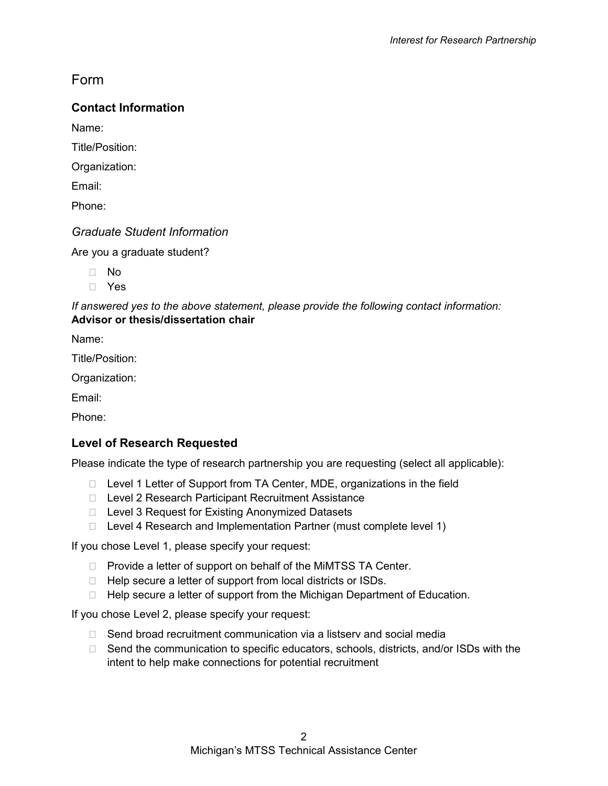# Form

# **Contact Information**

Name:

Title/Position:

Organization:

Email:

Phone:

## *Graduate Student Information*

Are you a graduate student?

No

Yes

#### *If answered yes to the above statement, please provide the following contact information:*  **Advisor or thesis/dissertation chair**

Name:

Title/Position:

Organization:

Email:

Phone:

## **Level of Research Requested**

Please indicate the type of research partnership you are requesting (select all applicable):

- □ Level 1 Letter of Support from TA Center, MDE, organizations in the field
- □ Level 2 Research Participant Recruitment Assistance
- □ Level 3 Request for Existing Anonymized Datasets
- □ Level 4 Research and Implementation Partner (must complete level 1)

If you chose Level 1, please specify your request:

- $\Box$  Provide a letter of support on behalf of the MiMTSS TA Center.
- $\Box$  Help secure a letter of support from local districts or ISDs.
- □ Help secure a letter of support from the Michigan Department of Education.

If you chose Level 2, please specify your request:

- $\Box$  Send broad recruitment communication via a listserv and social media
- $\Box$  Send the communication to specific educators, schools, districts, and/or ISDs with the intent to help make connections for potential recruitment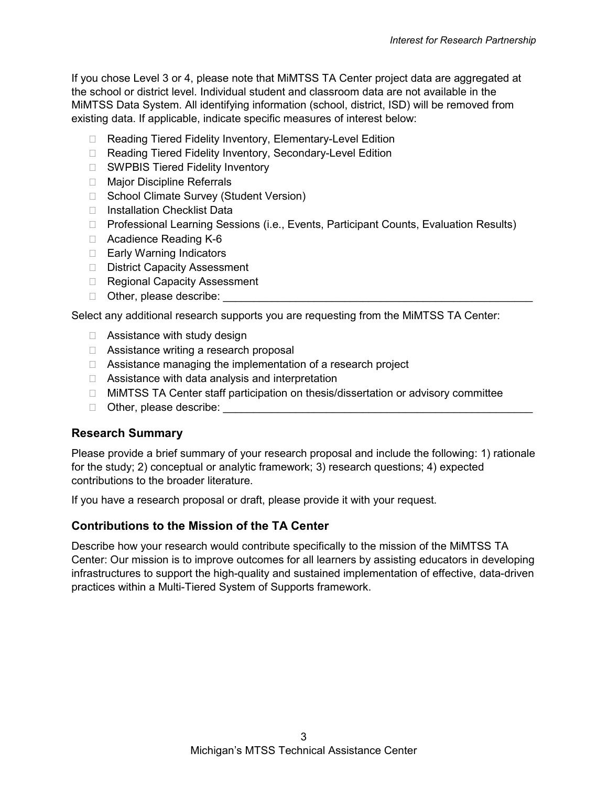If you chose Level 3 or 4, please note that MiMTSS TA Center project data are aggregated at the school or district level. Individual student and classroom data are not available in the MiMTSS Data System. All identifying information (school, district, ISD) will be removed from existing data. If applicable, indicate specific measures of interest below:

- □ Reading Tiered Fidelity Inventory, Elementary-Level Edition
- □ Reading Tiered Fidelity Inventory, Secondary-Level Edition
- □ SWPBIS Tiered Fidelity Inventory
- □ Major Discipline Referrals
- □ School Climate Survey (Student Version)
- □ Installation Checklist Data
- □ Professional Learning Sessions (i.e., Events, Participant Counts, Evaluation Results)
- □ Acadience Reading K-6
- □ Early Warning Indicators
- District Capacity Assessment
- □ Regional Capacity Assessment
- $\Box$  Other, please describe:

Select any additional research supports you are requesting from the MiMTSS TA Center:

- $\Box$  Assistance with study design
- □ Assistance writing a research proposal
- □ Assistance managing the implementation of a research project
- $\Box$  Assistance with data analysis and interpretation
- $\Box$  MiMTSS TA Center staff participation on thesis/dissertation or advisory committee
- $\Box$  Other, please describe:

#### **Research Summary**

Please provide a brief summary of your research proposal and include the following: 1) rationale for the study; 2) conceptual or analytic framework; 3) research questions; 4) expected contributions to the broader literature.

If you have a research proposal or draft, please provide it with your request.

#### **Contributions to the Mission of the TA Center**

Describe how your research would contribute specifically to the mission of the MiMTSS TA Center: Our mission is to improve outcomes for all learners by assisting educators in developing infrastructures to support the high-quality and sustained implementation of effective, data-driven practices within a Multi-Tiered System of Supports framework.